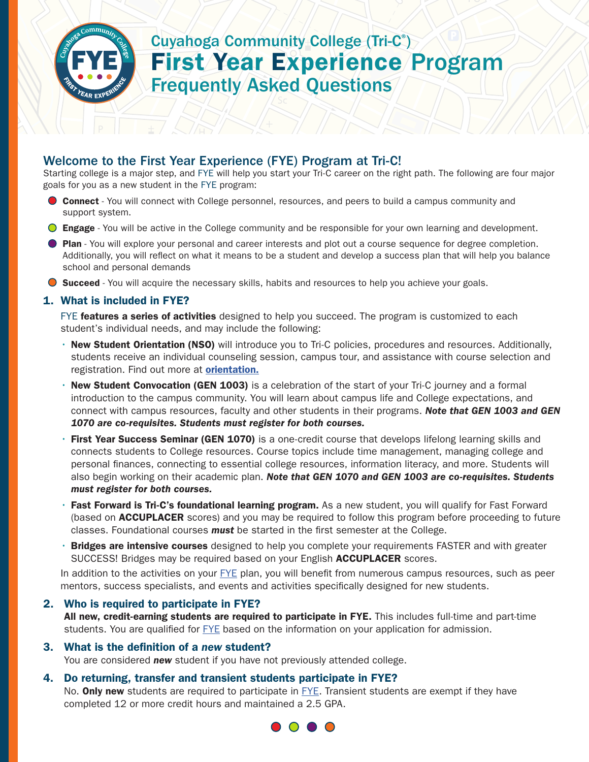

# Cuyahoga Community College (Tri-C® ) First Year Experience Program Frequently Asked Questions

## Welcome to the First Year Experience (FYE) Program at Tri-C!

Starting college is a major step, and FYE will help you start your Tri-C career on the right path. The following are four major goals for you as a new student in the FYE program:

- **Connect** You will connect with College personnel, resources, and peers to build a campus community and support system.
- **Engage** You will be active in the College community and be responsible for your own learning and development.
- **Plan** You will explore your personal and career interests and plot out a course sequence for degree completion. Additionally, you will reflect on what it means to be a student and develop a success plan that will help you balance school and personal demands
- **Succeed** You will acquire the necessary skills, habits and resources to help you achieve your goals.

## 1. What is included in FYE?

FYE features a series of activities designed to help you succeed. The program is customized to each student's individual needs, and may include the following:

- New Student Orientation (NSO) will introduce you to Tri-C policies, procedures and resources. Additionally, students receive an individual counseling session, campus tour, and assistance with course selection and registration. Find out more at **orientation.**
- New Student Convocation (GEN 1003) is a celebration of the start of your Tri-C journey and a formal introduction to the campus community. You will learn about campus life and College expectations, and connect with campus resources, faculty and other students in their programs. *Note that GEN 1003 and GEN 1070 are co-requisites. Students must register for both courses.*
- First Year Success Seminar (GEN 1070) is a one-credit course that develops lifelong learning skills and connects students to College resources. Course topics include time management, managing college and personal finances, connecting to essential college resources, information literacy, and more. Students will also begin working on their academic plan. *Note that GEN 1070 and GEN 1003 are co-requisites. Students must register for both courses.*
- Fast Forward is Tri-C's foundational learning program. As a new student, you will qualify for Fast Forward (based on **ACCUPLACER** scores) and you may be required to follow this program before proceeding to future classes. Foundational courses *must* be started in the first semester at the College.
- Bridges are intensive courses designed to help you complete your requirements FASTER and with greater SUCCESS! Bridges may be required based on your English **ACCUPLACER** scores.

In addition to the activities on your FYE plan, you will benefit from numerous campus resources, such as peer mentors, success specialists, and events and activities specifically designed for new students.

## 2. Who is required to participate in FYE?

All new, credit-earning students are required to participate in FYE. This includes full-time and part-time students. You are qualified for FYE based on the information on your application for admission.

## 3. What is the definition of a *new* student?

You are considered *new* student if you have not previously attended college.

## 4. Do returning, transfer and transient students participate in FYE?

No. **Only new** students are required to participate in  $EYE$ . Transient students are exempt if they have completed 12 or more credit hours and maintained a 2.5 GPA.